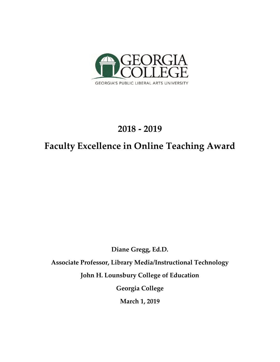

## **2018 - 2019**

## **Faculty Excellence in Online Teaching Award**

**Diane Gregg, Ed.D.** 

**Associate Professor, Library Media/Instructional Technology** 

**John H. Lounsbury College of Education** 

**Georgia College** 

**March 1, 2019**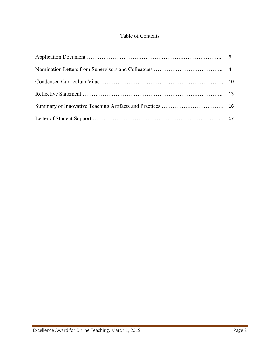## Table of Contents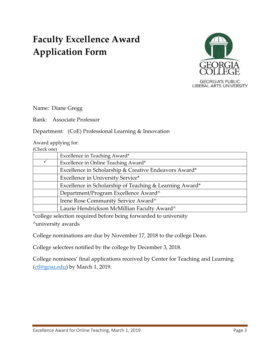# **Faculty Excellence Award Application Form**



Name: Diane Gregg

Rank: Associate Professor

Department: (CoE) Professional Learning & Innovation

Award applying for:

|                                                                                                                                        | Excellence in Teaching Award*               |  |  |
|----------------------------------------------------------------------------------------------------------------------------------------|---------------------------------------------|--|--|
|                                                                                                                                        | Excellence in Online Teaching Award*        |  |  |
| Excellence in Scholarship & Creative Endeavors Award*                                                                                  |                                             |  |  |
|                                                                                                                                        | Excellence in University Service*           |  |  |
| Excellence in Scholarship of Teaching & Learning Award*<br>Department/Program Excellence Award^<br>Irene Rose Community Service Award^ |                                             |  |  |
|                                                                                                                                        |                                             |  |  |
|                                                                                                                                        |                                             |  |  |
|                                                                                                                                        | Laurie Hendrickson McMillian Faculty Award^ |  |  |
|                                                                                                                                        |                                             |  |  |

\*college selection required before being forwarded to university ^university awards

College nominations are due by November 17, 2018 to the college Dean.

College selectees notified by the college by December 3, 2018.

College nominees' final applications received by Center for Teaching and Learning [\(ctl@gcsu.edu\)](mailto:ctl@gcsu.edu) by March 1, 2019.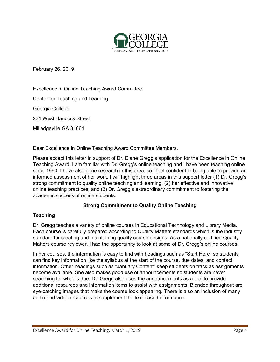

February 26, 2019

Excellence in Online Teaching Award Committee Center for Teaching and Learning Georgia College 231 West Hancock Street Milledgeville GA 31061

Dear Excellence in Online Teaching Award Committee Members,

Please accept this letter in support of Dr. Diane Gregg's application for the Excellence in Online Teaching Award. I am familiar with Dr. Gregg's online teaching and I have been teaching online since 1990. I have also done research in this area, so I feel confident in being able to provide an informed assessment of her work. I will highlight three areas in this support letter (1) Dr. Gregg's strong commitment to quality online teaching and learning, (2) her effective and innovative online teaching practices, and (3) Dr. Gregg's extraordinary commitment to fostering the academic success of online students.

#### **Strong Commitment to Quality Online Teaching**

#### **Teaching**

Dr. Gregg teaches a variety of online courses in Educational Technology and Library Media. Each course is carefully prepared according to Quality Matters standards which is the industry standard for creating and maintaining quality course designs. As a nationally certified Quality Matters course reviewer, I had the opportunity to look at some of Dr. Gregg's online courses.

In her courses, the information is easy to find with headings such as "Start Here" so students can find key information like the syllabus at the start of the course, due dates, and contact information. Other headings such as "January Content" keep students on track as assignments become available. She also makes good use of announcements so students are never searching for what is due. Dr. Gregg also uses the announcements as a tool to provide additional resources and information items to assist with assignments. Blended throughout are eye-catching images that make the course look appealing. There is also an inclusion of many audio and video resources to supplement the text-based information.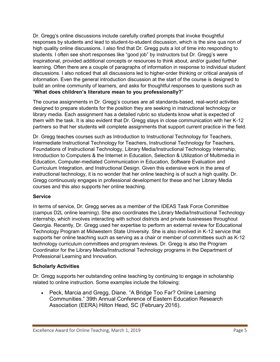Dr. Gregg's online discussions include carefully crafted prompts that invoke thoughtful responses by students and lead to student-to-student discussion, which is the sine qua non of high quality online discussions. I also find that Dr. Gregg puts a lot of time into responding to students. I often see short responses like "good job" by instructors but Dr. Gregg's were inspirational, provided additional concepts or resources to think about, and/or guided further learning. Often there are a couple of paragraphs of information in response to individual student discussions. I also noticed that all discussions led to higher-order thinking or critical analysis of information. Even the general introduction discussion at the start of the course is designed to build an online community of learners, and asks for thoughtful responses to questions such as "**What does children's literature mean to you professionally?**"

The course assignments in Dr. Gregg's courses are all standards-based, real-world activities designed to prepare students for the position they are seeking in instructional technology or library media. Each assignment has a detailed rubric so students know what is expected of them with the task. It is also evident that Dr. Gregg stays in close communication with her K-12 partners so that her students will complete assignments that support current practice in the field.

Dr. Gregg teaches courses such as Introduction to Instructional Technology for Teachers, Intermediate Instructional Technology for Teachers, Instructional Technology for Teachers, Foundations of Instructional Technology, Library Media/Instructional Technology Internship, Introduction to Computers & the Internet in Education, Selection & Utilization of Multimedia in Education, Computer-mediated Communication in Education, Software Evaluation and Curriculum Integration, and Instructional Design. Given this extensive work in the area of instructional technology, it is no wonder that her online teaching is of such a high quality. Dr. Gregg continuously engages in professional development for these and her Library Media courses and this also supports her online teaching.

#### **Service**

In terms of service, Dr. Gregg serves as a member of the IDEAS Task Force Committee (campus D2L online learning). She also coordinates the Library Media/Instructional Technology internship, which involves interacting with school districts and private businesses throughout Georgia. Recently, Dr. Gregg used her expertise to perform an external review for Educational Technology Program at Midwestern State University. She is also involved in K-12 service that supports her online teaching such as serving as a chair or member of committees such as K-12 technology curriculum committees and program reviews. Dr. Gregg is also the Program Coordinator for the Library Media/Instructional Technology programs in the Department of Professional Learning and Innovation.

#### **Scholarly Activities**

Dr. Gregg supports her outstanding online teaching by continuing to engage in scholarship related to online instruction. Some examples include the following:

• Peck, Marcia and Gregg, Diane. "A Bridge Too Far? Online Learning Communities." 39th Annual Conference of Eastern Education Research Association (EERA) Hilton Head, SC (February 2016).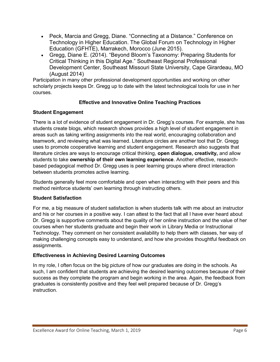- Peck, Marcia and Gregg, Diane. "Connecting at a Distance." Conference on Technology in Higher Education. The Global Forum on Technology in Higher Education (GFHTE), Marrakech, Morocco (June 2015).
- Gregg, Diane E. (2014). "Beyond Bloom's Taxonomy: Preparing Students for Critical Thinking in this Digital Age." Southeast Regional Professional Development Center, Southeast Missouri State University, Cape Girardeau, MO (August 2014)

Participation in many other professional development opportunities and working on other scholarly projects keeps Dr. Gregg up to date with the latest technological tools for use in her courses.

## **Effective and Innovative Online Teaching Practices**

## **Student Engagement**

There is a lot of evidence of student engagement in Dr. Gregg's courses. For example, she has students create blogs, which research shows provides a high level of student engagement in areas such as taking writing assignments into the real world, encouraging collaboration and teamwork, and reviewing what was learned. Literature circles are another tool that Dr. Gregg uses to promote cooperative learning and student engagement. Research also suggests that literature circles are ways to encourage critical thinking, **open dialogue, creativity,** and allow students to take **ownership of their own learning experience**. Another effective, researchbased pedagogical method Dr. Gregg uses is peer learning groups where direct interaction between students promotes active learning.

Students generally feel more comfortable and open when interacting with their peers and this method reinforce students' own learning through instructing others.

#### **Student Satisfaction**

For me, a big measure of student satisfaction is when students talk with me about an instructor and his or her courses in a positive way. I can attest to the fact that all I have ever heard about Dr. Gregg is supportive comments about the quality of her online instruction and the value of her courses when her students graduate and begin their work in Library Media or Instructional Technology. They comment on her consistent availability to help them with classes, her way of making challenging concepts easy to understand, and how she provides thoughtful feedback on assignments.

## **Effectiveness in Achieving Desired Learning Outcomes**

In my role, I often focus on the big picture of how our graduates are doing in the schools. As such, I am confident that students are achieving the desired learning outcomes because of their success as they complete the program and begin working in the area. Again, the feedback from graduates is consistently positive and they feel well prepared because of Dr. Gregg's instruction.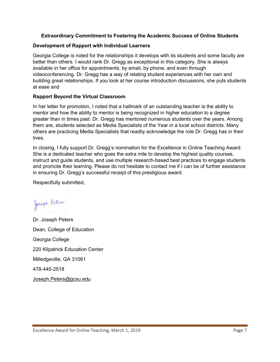#### **Extraordinary Commitment to Fostering the Academic Success of Online Students**

#### **Development of Rapport with Individual Learners**

Georgia College is noted for the relationships it develops with its students and some faculty are better than others. I would rank Dr. Gregg as exceptional in this category. She is always available in her office for appointments, by email, by phone, and even through videoconferencing. Dr. Gregg has a way of relating student experiences with her own and building great relationships. If you look at her course introduction discussions, she puts students at ease and

#### **Rapport Beyond the Virtual Classroom**

In her letter for promotion, I noted that a hallmark of an outstanding teacher is the ability to mentor and how the ability to mentor is being recognized in higher education to a degree greater than in times past. Dr. Gregg has mentored numerous students over the years. Among them are, students selected as Media Specialists of the Year in a local school districts. Many others are practicing Media Specialists that readily acknowledge the role Dr. Gregg has in their lives.

In closing, I fully support Dr. Gregg's nomination for the Excellence in Online Teaching Award. She is a dedicated teacher who goes the extra mile to develop the highest quality courses, instruct and guide students, and use multiple research-based best practices to engage students and promote their learning. Please do not hesitate to contact me if I can be of further assistance in ensuring Dr. Gregg's successful receipt of this prestigious award.

Respectfully submitted,

Joseph Peters

Dr. Joseph Peters Dean, College of Education Georgia College 220 Kilpatrick Education Center Milledgeville, GA 31061 478-445-2518 [Joseph.Peters@gcsu.edu](mailto:Joseph.Peters@gcsu.edu)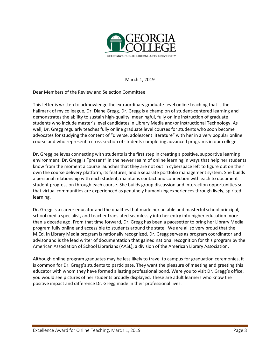

March 1, 2019

Dear Members of the Review and Selection Committee,

This letter is written to acknowledge the extraordinary graduate-level online teaching that is the hallmark of my colleague, Dr. Diane Gregg. Dr. Gregg is a champion of student-centered learning and demonstrates the ability to sustain high-quality, meaningful, fully online instruction of graduate students who include master's level candidates in Library Media and/or Instructional Technology. As well, Dr. Gregg regularly teaches fully online graduate level courses for students who soon become advocates for studying the content of "diverse, adolescent literature" with her in a very popular online course and who represent a cross-section of students completing advanced programs in our college.

Dr. Gregg believes connecting with students is the first step in creating a positive, supportive learning environment. Dr. Gregg is "present" in the newer realm of online learning in ways that help her students know from the moment a course launches that they are not out in cyberspace left to figure out on their own the course delivery platform, its features, and a separate portfolio management system. She builds a personal relationship with each student, maintains contact and connection with each to document student progression through each course. She builds group discussion and interaction opportunities so that virtual communities are experienced as genuinely humanizing experiences through lively, spirited learning.

Dr. Gregg is a career educator and the qualities that made her an able and masterful school principal, school media specialist, and teacher translated seamlessly into her entry into higher education more than a decade ago. From that time forward, Dr. Gregg has been a pacesetter to bring her Library Media program fully online and accessible to students around the state. We are all so very proud that the M.Ed. in Library Media program is nationally recognized. Dr. Gregg serves as program coordinator and advisor and is the lead writer of documentation that gained national recognition for this program by the American Association of School Librarians (AASL), a division of the American Library Association.

Although online program graduates may be less likely to travel to campus for graduation ceremonies, it is common for Dr. Gregg's students to participate. They want the pleasure of meeting and greeting this educator with whom they have formed a lasting professional bond. Were you to visit Dr. Gregg's office, you would see pictures of her students proudly displayed. These are adult learners who know the positive impact and difference Dr. Gregg made in their professional lives.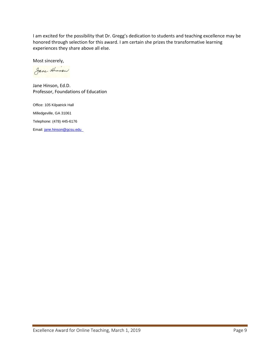I am excited for the possibility that Dr. Gregg's dedication to students and teaching excellence may be honored through selection for this award. I am certain she prizes the transformative learning experiences they share above all else.

Most sincerely,

Jane Hinson

Jane Hinson, Ed.D. Professor, Foundations of Education

Office: 105 Kilpatrick Hall Milledgeville, GA 31061 Telephone: (478) 445-6176 Email: jane.hinson@gcsu.edu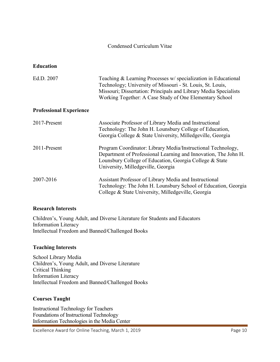#### Condensed Curriculum Vitae

#### **Education**

| Ed.D. 2007                     | Teaching & Learning Processes w/specialization in Educational<br>Technology; University of Missouri - St. Louis, St. Louis,<br>Missouri; Dissertation: Principals and Library Media Specialists<br>Working Together: A Case Study of One Elementary School |
|--------------------------------|------------------------------------------------------------------------------------------------------------------------------------------------------------------------------------------------------------------------------------------------------------|
| <b>Professional Experience</b> |                                                                                                                                                                                                                                                            |
| 2017-Present                   | Associate Professor of Library Media and Instructional<br>Technology: The John H. Lounsbury College of Education,<br>Georgia College & State University, Milledgeville, Georgia                                                                            |
| 2011-Present                   | Program Coordinator: Library Media/Instructional Technology,<br>Department of Professional Learning and Innovation, The John H.<br>Lounsbury College of Education, Georgia College & State<br>University, Milledgeville, Georgia                           |
| 2007-2016                      | Assistant Professor of Library Media and Instructional<br>Technology: The John H. Lounsbury School of Education, Georgia<br>College & State University, Milledgeville, Georgia                                                                             |

#### **Research Interests**

Children's, Young Adult, and Diverse Literature for Students and Educators Information Literacy Intellectual Freedom and Banned/Challenged Books

#### **Teaching Interests**

School Library Media Children's, Young Adult, and Diverse Literature Critical Thinking Information Literacy Intellectual Freedom and Banned/Challenged Books

#### **Courses Taught**

Instructional Technology for Teachers Foundations of Instructional Technology Information Technologies in the Media Center

Excellence Award for Online Teaching, March 1, 2019 **Page 10** Page 10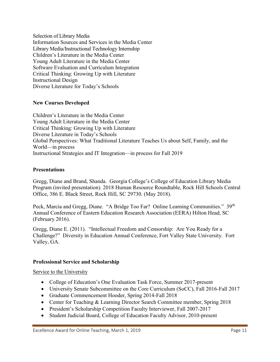Selection of Library Media Information Sources and Services in the Media Center Library Media/Instructional Technology Internship Children's Literature in the Media Center Young Adult Literature in the Media Center Software Evaluation and Curriculum Integration Critical Thinking: Growing Up with Literature Instructional Design Diverse Literature for Today's Schools

## **New Courses Developed**

Children's Literature in the Media Center Young Adult Literature in the Media Center Critical Thinking: Growing Up with Literature Diverse Literature in Today's Schools Global Perspectives: What Traditional Literature Teaches Us about Self, Family, and the World—in process Instructional Strategies and IT Integration—in process for Fall 2019

#### **Presentations**

Gregg, Diane and Brand, Shanda. Georgia College's College of Education Library Media Program (invited presentation). 2018 Human Resource Roundtable, Rock Hill Schools Central Office, 386 E. Black Street, Rock Hill, SC 29730. (May 2018).

Peck, Marcia and Gregg, Diane. "A Bridge Too Far? Online Learning Communities." 39<sup>th</sup> Annual Conference of Eastern Education Research Association (EERA) Hilton Head, SC (February 2016).

Gregg, Diane E. (2011). "Intellectual Freedom and Censorship: Are You Ready for a Challenge?" Diversity in Education Annual Conference, Fort Valley State University. Fort Valley, GA.

#### **Professional Service and Scholarship**

#### Service to the University

- College of Education's One Evaluation Task Force, Summer 2017-present
- University Senate Subcommittee on the Core Curriculum (SoCC), Fall 2016-Fall 2017
- Graduate Commencement Hooder, Spring 2014-Fall 2018
- Center for Teaching & Learning Director Search Committee member, Spring 2018
- President's Scholarship Competition Faculty Interviewer, Fall 2007-2017
- Student Judicial Board, College of Education Faculty Advisor, 2010-present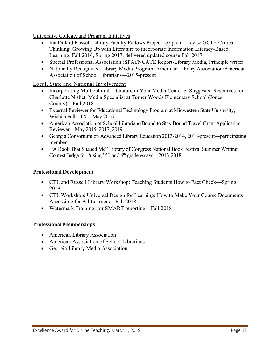University, College, and Program Initiatives

- Ina Dillard Russell Library Faculty Fellows Project recipient—revise GC1Y Critical Thinking: Growing Up with Literature to incorporate Information Literacy-Based Learning, Fall 2016, Spring 2017; delivered updated course Fall 2017
- Special Professional Association (SPA)/NCATE Report-Library Media, Principle writer
- Nationally Recognized Library Media Program, American Library Association/American Association of School Librarians—2015-present

Local, State and National Involvement

- Incorporating Multicultural Literature in Your Media Center & Suggested Resources for Charlotte Nisbet, Media Specialist at Turner Woods Elementary School (Jones County)—Fall 2018
- External Reviewer for Educational Technology Program at Midwestern State University, Wichita Falls, TX—May 2016
- American Association of School Librarians/Bound to Stay Bound Travel Grant Application Reviewer—May 2015, 2017, 2019
- Georgia Consortium on Advanced Library Education 2013-2014, 2018-present—participating member
- "A Book That Shaped Me" Library of Congress National Book Festival Summer Writing Contest Judge for "rising"  $5<sup>th</sup>$  and  $6<sup>th</sup>$  grade essays—2013-2018

#### **Professional Development**

- CTL and Russell Library Workshop: Teaching Students How to Fact Check—Spring 2018
- CTL Workshop: Universal Design for Learning: How to Make Your Course Documents Accessible for All Learners—Fall 2018
- Watermark Training; for SMART reporting—Fall 2018

## **Professional Memberships**

- American Library Association
- American Association of School Librarians
- Georgia Library Media Association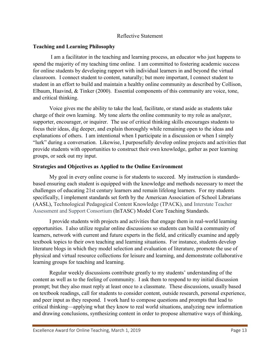#### Reflective Statement

#### **Teaching and Learning Philosophy**

 I am a facilitator in the teaching and learning process, an educator who just happens to spend the majority of my teaching time online. I am committed to fostering academic success for online students by developing rapport with individual learners in and beyond the virtual classroom. I connect student to content, naturally; but more important, I connect student to student in an effort to build and maintain a healthy online community as described by Collison, Elbaum, Haavind, & Tinker (2000). Essential components of this community are voice, tone, and critical thinking.

Voice gives me the ability to take the lead, facilitate, or stand aside as students take charge of their own learning. My tone alerts the online community to my role as analyzer, supporter, encourager, or inquirer. The use of critical thinking skills encourages students to focus their ideas, dig deeper, and explain thoroughly while remaining open to the ideas and explanations of others. I am intentional when I participate in a discussion or when I simply "lurk" during a conversation. Likewise, I purposefully develop online projects and activities that provide students with opportunities to construct their own knowledge, gather as peer learning groups, or seek out my input.

## **Strategies and Objectives as Applied to the Online Environment**

 My goal in every online course is for students to succeed. My instruction is standardsbased ensuring each student is equipped with the knowledge and methods necessary to meet the challenges of educating 21st century learners and remain lifelong learners. For my students specifically, I implement standards set forth by the American Association of School Librarians (AASL), Technological Pedagogical Content Knowledge (TPACK), and Interstate Teacher Assessment and Support Consortium (InTASC) Model Core Teaching Standards.

I provide students with projects and activities that engage them in real-world learning opportunities. I also utilize regular online discussions so students can build a community of learners, network with current and future experts in the field, and critically examine and apply textbook topics to their own teaching and learning situations. For instance, students develop literature blogs in which they model selection and evaluation of literature, promote the use of physical and virtual resource collections for leisure and learning, and demonstrate collaborative learning groups for teaching and learning.

Regular weekly discussions contribute greatly to my students' understanding of the content as well as to the feeling of community. I ask them to respond to my initial discussion prompt; but they also must reply at least once to a classmate. These discussions, usually based on textbook readings, call for students to consider content, outside research, personal experience, and peer input as they respond. I work hard to compose questions and prompts that lead to critical thinking—applying what they know to real world situations, analyzing new information and drawing conclusions, synthesizing content in order to propose alternative ways of thinking,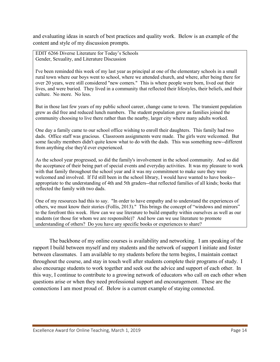and evaluating ideas in search of best practices and quality work. Below is an example of the content and style of my discussion prompts.

EDIT 6266 Diverse Literature for Today's Schools Gender, Sexuality, and Literature Discussion

I've been reminded this week of my last year as principal at one of the elementary schools in a small rural town where our boys went to school, where we attended church, and where, after being there for over 20 years, were still considered "new comers." This is where people were born, lived out their lives, and were buried. They lived in a community that reflected their lifestyles, their beliefs, and their culture. No more. No less.

But in those last few years of my public school career, change came to town. The transient population grew as did free and reduced lunch numbers. The student population grew as families joined the community choosing to live there rather than the nearby, larger city where many adults worked.

One day a family came to our school office wishing to enroll their daughters. This family had two dads. Office staff was gracious. Classroom assignments were made. The girls were welcomed. But some faculty members didn't quite know what to do with the dads. This was something new--different from anything else they'd ever experienced.

As the school year progressed, so did the family's involvement in the school community. And so did the acceptance of their being part of special events and everyday activities. It was my pleasure to work with that family throughout the school year and it was my commitment to make sure they were welcomed and involved. If I'd still been in the school library, I would have wanted to have books- appropriate to the understanding of 4th and 5th graders--that reflected families of all kinds; books that reflected the family with two dads.

One of my resources had this to say. "In order to have empathy and to understand the experiences of others, we must know their stories (Follis, 2013)." This brings the concept of "windows and mirrors" to the forefront this week. How can we use literature to build empathy within ourselves as well as our students (or those for whom we are responsible)? And how can we use literature to promote understanding of others? Do you have any specific books or experiences to share?

The backbone of my online courses is availability and networking. I am speaking of the rapport I build between myself and my students and the network of support I initiate and foster between classmates. I am available to my students before the term begins, I maintain contact throughout the course, and stay in touch well after students complete their programs of study. I also encourage students to work together and seek out the advice and support of each other. In this way, I continue to contribute to a growing network of educators who call on each other when questions arise or when they need professional support and encouragement. These are the connections I am most proud of. Below is a current example of staying connected.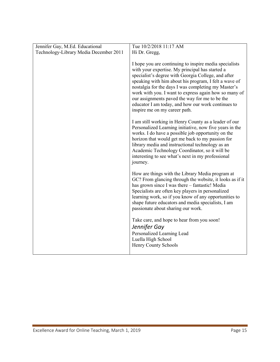| Jennifer Gay, M.Ed. Educational        | Tue 10/2/2018 11:17 AM                                                                                                                                                                                                                                                                                                                                                                                                                                                                                                                                                                                                                                                                                                                                                                                                                                                                  |
|----------------------------------------|-----------------------------------------------------------------------------------------------------------------------------------------------------------------------------------------------------------------------------------------------------------------------------------------------------------------------------------------------------------------------------------------------------------------------------------------------------------------------------------------------------------------------------------------------------------------------------------------------------------------------------------------------------------------------------------------------------------------------------------------------------------------------------------------------------------------------------------------------------------------------------------------|
| Technology-Library Media December 2011 | Hi Dr. Gregg,                                                                                                                                                                                                                                                                                                                                                                                                                                                                                                                                                                                                                                                                                                                                                                                                                                                                           |
|                                        | I hope you are continuing to inspire media specialists<br>with your expertise. My principal has started a<br>specialist's degree with Georgia College, and after<br>speaking with him about his program, I felt a wave of<br>nostalgia for the days I was completing my Master's<br>work with you. I want to express again how so many of<br>our assignments paved the way for me to be the<br>educator I am today, and how our work continues to<br>inspire me on my career path.<br>I am still working in Henry County as a leader of our<br>Personalized Learning initiative, now five years in the<br>works. I do have a possible job opportunity on the<br>horizon that would get me back to my passion for<br>library media and instructional technology as an<br>Academic Technology Coordinator, so it will be<br>interesting to see what's next in my professional<br>journey. |
|                                        | How are things with the Library Media program at<br>GC? From glancing through the website, it looks as if it<br>has grown since I was there – fantastic! Media<br>Specialists are often key players in personalized<br>learning work, so if you know of any opportunities to<br>shape future educators and media specialists, I am<br>passionate about sharing our work.<br>Take care, and hope to hear from you soon!<br>Jennifer Gay<br>Personalized Learning Lead<br>Luella High School                                                                                                                                                                                                                                                                                                                                                                                              |
|                                        | Henry County Schools                                                                                                                                                                                                                                                                                                                                                                                                                                                                                                                                                                                                                                                                                                                                                                                                                                                                    |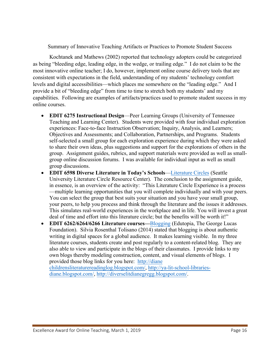Summary of Innovative Teaching Artifacts or Practices to Promote Student Success

Kochtanek and Mathews (2002) reported that technology adopters could be categorized as being "bleeding edge, leading edge, in the wedge, or trailing edge." I do not claim to be the most innovative online teacher; I do, however, implement online course delivery tools that are consistent with expectations in the field, understanding of my students' technology comfort levels and digital accessibilities—which places me somewhere on the "leading edge." And I provide a bit of "bleeding edge" from time to time to stretch both my students' and my capabilities. Following are examples of artifacts/practices used to promote student success in my online courses.

- **EDIT 6275 Instructional Design**—Peer Learning Groups (University of Tennessee Teaching and Learning Center). Students were provided with four individual exploration experiences: Face-to-face Instruction Observation; Inquiry, Analysis, and Learners; Objectives and Assessments; and Collaboration, Partnerships, and Programs. Students self-selected a small group for each exploration experience during which they were asked to share their own ideas, plus suggestions and support for the explorations of others in the group. Assignment guides, rubrics, and support materials were provided as well as smallgroup online discussion forums. I was available for individual input as well as small group discussions.
- **EDIT 6598 Diverse Literature in Today's Schools**[—Literature Circles](http://www.litcircles.org/Overview/overview.html) (Seattle University Literature Circle Resource Center). The conclusion to the assignment guide, in essence, is an overview of the activity: "This Literature Circle Experience is a process —multiple learning opportunities that you will complete individually and with your peers. You can select the group that best suits your situation and you have your small group, your peers, to help you process and think through the literature and the issues it addresses. This simulates real-world experiences in the workplace and in life. You will invest a great deal of time and effort into this literature circle; but the benefits will be worth it!"
- **EDIT 6262/6264/6266 Literature courses—**[Blogging](https://www.edutopia.org/discussion/9-reasons-why-teachers-should-blog) (Edutopia, The George Lucas Foundation).Silvia Rosenthal Tolisano (2014) stated that blogging is about authentic writing in digital spaces for a global audience. It makes learning visible. In my three literature courses, students create and post regularly to a content-related blog. They are also able to view and participate in the blogs of their classmates. I provide links to my own blogs thereby modeling construction, content, and visual elements of blogs. I provided those blog links for you here: http://diane

childrensliteraturereadinglog.blogspot.com/, http://ya-lit-school-libraries[diane.blogspot.com/,](http://ya-lit-school-libraries-diane.blogspot.com/) <http://diverselitdianegregg.blogspot.com/>[.](http://ya-lit-school-libraries-diane.blogspot.com/)